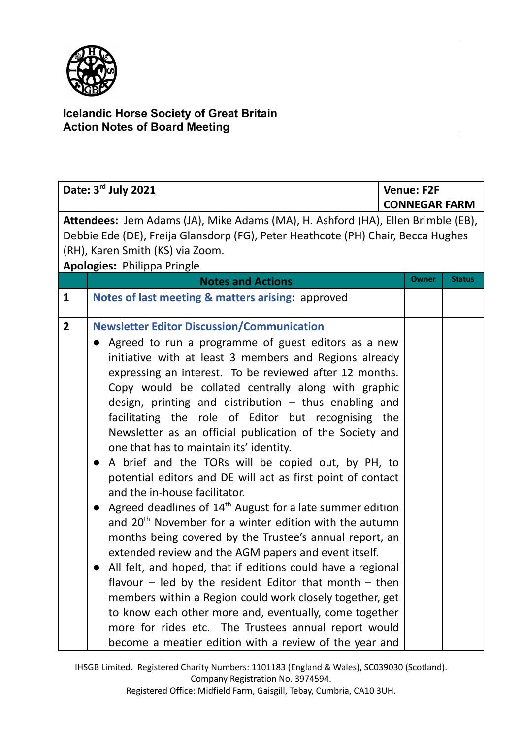

| Date: 3rd July 2021                                                                                                                                                                                                                     |                                                                                                                                                                                                                                                                                                                                                                                                                                                                                                                                                                                                                                                                                                                                                                                                                                                                                                                                                                                                                                                                                                                                                                                                                                                                                                                                      | <b>Venue: F2F</b> |                      |  |
|-----------------------------------------------------------------------------------------------------------------------------------------------------------------------------------------------------------------------------------------|--------------------------------------------------------------------------------------------------------------------------------------------------------------------------------------------------------------------------------------------------------------------------------------------------------------------------------------------------------------------------------------------------------------------------------------------------------------------------------------------------------------------------------------------------------------------------------------------------------------------------------------------------------------------------------------------------------------------------------------------------------------------------------------------------------------------------------------------------------------------------------------------------------------------------------------------------------------------------------------------------------------------------------------------------------------------------------------------------------------------------------------------------------------------------------------------------------------------------------------------------------------------------------------------------------------------------------------|-------------------|----------------------|--|
|                                                                                                                                                                                                                                         |                                                                                                                                                                                                                                                                                                                                                                                                                                                                                                                                                                                                                                                                                                                                                                                                                                                                                                                                                                                                                                                                                                                                                                                                                                                                                                                                      |                   | <b>CONNEGAR FARM</b> |  |
| Attendees: Jem Adams (JA), Mike Adams (MA), H. Ashford (HA), Ellen Brimble (EB),<br>Debbie Ede (DE), Freija Glansdorp (FG), Peter Heathcote (PH) Chair, Becca Hughes<br>(RH), Karen Smith (KS) via Zoom.<br>Apologies: Philippa Pringle |                                                                                                                                                                                                                                                                                                                                                                                                                                                                                                                                                                                                                                                                                                                                                                                                                                                                                                                                                                                                                                                                                                                                                                                                                                                                                                                                      |                   |                      |  |
|                                                                                                                                                                                                                                         | <b>Notes and Actions</b>                                                                                                                                                                                                                                                                                                                                                                                                                                                                                                                                                                                                                                                                                                                                                                                                                                                                                                                                                                                                                                                                                                                                                                                                                                                                                                             | <b>Owner</b>      | <b>Status</b>        |  |
| $\mathbf{1}$                                                                                                                                                                                                                            | Notes of last meeting & matters arising: approved                                                                                                                                                                                                                                                                                                                                                                                                                                                                                                                                                                                                                                                                                                                                                                                                                                                                                                                                                                                                                                                                                                                                                                                                                                                                                    |                   |                      |  |
| $\overline{2}$                                                                                                                                                                                                                          | <b>Newsletter Editor Discussion/Communication</b><br>Agreed to run a programme of guest editors as a new<br>initiative with at least 3 members and Regions already<br>expressing an interest. To be reviewed after 12 months.<br>Copy would be collated centrally along with graphic<br>design, printing and distribution $-$ thus enabling and<br>facilitating the role of Editor but recognising the<br>Newsletter as an official publication of the Society and<br>one that has to maintain its' identity.<br>A brief and the TORs will be copied out, by PH, to<br>$\bullet$<br>potential editors and DE will act as first point of contact<br>and the in-house facilitator.<br>Agreed deadlines of 14 <sup>th</sup> August for a late summer edition<br>$\bullet$<br>and 20 <sup>th</sup> November for a winter edition with the autumn<br>months being covered by the Trustee's annual report, an<br>extended review and the AGM papers and event itself.<br>All felt, and hoped, that if editions could have a regional<br>flavour $-$ led by the resident Editor that month $-$ then<br>members within a Region could work closely together, get<br>to know each other more and, eventually, come together<br>more for rides etc. The Trustees annual report would<br>become a meatier edition with a review of the year and |                   |                      |  |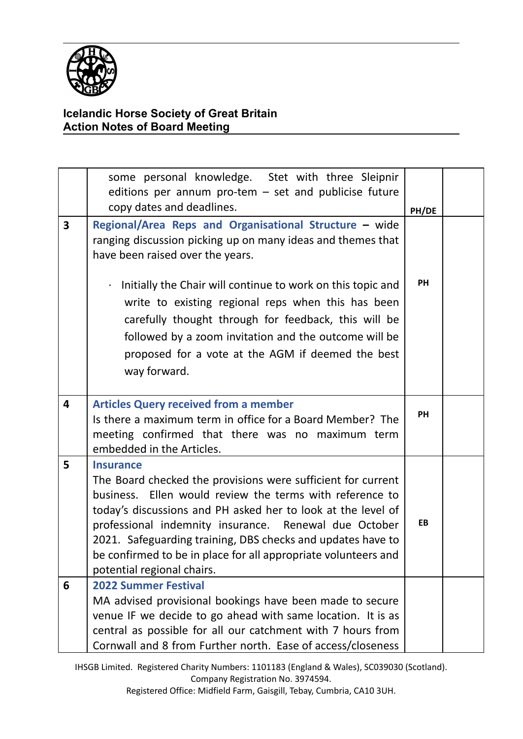

|                         | some personal knowledge. Stet with three Sleipnir<br>editions per annum pro-tem $-$ set and publicise future<br>copy dates and deadlines.                                                                                                                                                                                                                                                                                               | PH/DE     |  |
|-------------------------|-----------------------------------------------------------------------------------------------------------------------------------------------------------------------------------------------------------------------------------------------------------------------------------------------------------------------------------------------------------------------------------------------------------------------------------------|-----------|--|
| $\overline{\mathbf{3}}$ | Regional/Area Reps and Organisational Structure - wide<br>ranging discussion picking up on many ideas and themes that<br>have been raised over the years.                                                                                                                                                                                                                                                                               |           |  |
|                         | Initially the Chair will continue to work on this topic and<br>$\bullet$<br>write to existing regional reps when this has been<br>carefully thought through for feedback, this will be<br>followed by a zoom invitation and the outcome will be<br>proposed for a vote at the AGM if deemed the best<br>way forward.                                                                                                                    | PH        |  |
| 4                       | <b>Articles Query received from a member</b><br>Is there a maximum term in office for a Board Member? The<br>meeting confirmed that there was no maximum term<br>embedded in the Articles.                                                                                                                                                                                                                                              | PH        |  |
| 5                       | <b>Insurance</b><br>The Board checked the provisions were sufficient for current<br>Ellen would review the terms with reference to<br>business.<br>today's discussions and PH asked her to look at the level of<br>professional indemnity insurance. Renewal due October<br>2021. Safeguarding training, DBS checks and updates have to<br>be confirmed to be in place for all appropriate volunteers and<br>potential regional chairs. | <b>EB</b> |  |
| 6                       | <b>2022 Summer Festival</b><br>MA advised provisional bookings have been made to secure<br>venue IF we decide to go ahead with same location. It is as<br>central as possible for all our catchment with 7 hours from<br>Cornwall and 8 from Further north. Ease of access/closeness                                                                                                                                                    |           |  |

IHSGB Limited. Registered Charity Numbers: 1101183 (England & Wales), SC039030 (Scotland). Company Registration No. 3974594.

Registered Office: Midfield Farm, Gaisgill, Tebay, Cumbria, CA10 3UH.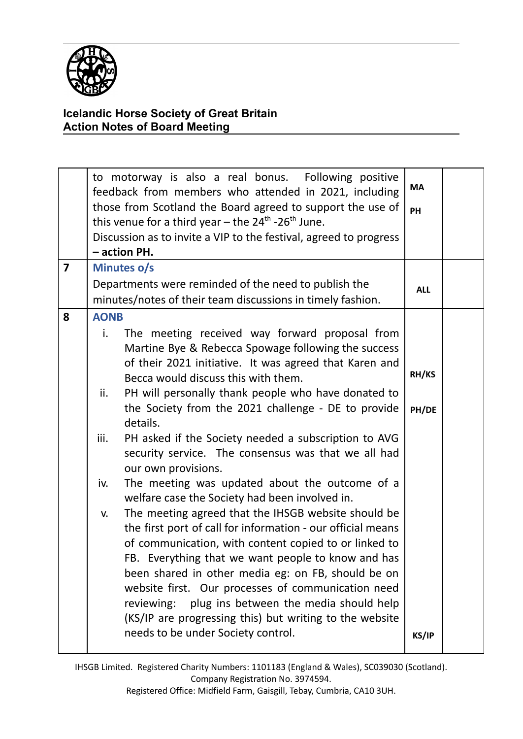

|                         | to motorway is also a real bonus. Following positive<br>feedback from members who attended in 2021, including<br>those from Scotland the Board agreed to support the use of<br>this venue for a third year – the $24^{\text{th}}$ -26 <sup>th</sup> June.<br>Discussion as to invite a VIP to the festival, agreed to progress<br>- action PH.                                                                                                                                                                                                                                                                                                                                                                                                                                                                                                                                                                                                                                                                                                                                                                                        | MA<br>PH                |  |
|-------------------------|---------------------------------------------------------------------------------------------------------------------------------------------------------------------------------------------------------------------------------------------------------------------------------------------------------------------------------------------------------------------------------------------------------------------------------------------------------------------------------------------------------------------------------------------------------------------------------------------------------------------------------------------------------------------------------------------------------------------------------------------------------------------------------------------------------------------------------------------------------------------------------------------------------------------------------------------------------------------------------------------------------------------------------------------------------------------------------------------------------------------------------------|-------------------------|--|
| $\overline{\mathbf{z}}$ | Minutes o/s                                                                                                                                                                                                                                                                                                                                                                                                                                                                                                                                                                                                                                                                                                                                                                                                                                                                                                                                                                                                                                                                                                                           |                         |  |
|                         | Departments were reminded of the need to publish the                                                                                                                                                                                                                                                                                                                                                                                                                                                                                                                                                                                                                                                                                                                                                                                                                                                                                                                                                                                                                                                                                  | <b>ALL</b>              |  |
|                         | minutes/notes of their team discussions in timely fashion.                                                                                                                                                                                                                                                                                                                                                                                                                                                                                                                                                                                                                                                                                                                                                                                                                                                                                                                                                                                                                                                                            |                         |  |
| 8                       | <b>AONB</b><br>i.<br>The meeting received way forward proposal from<br>Martine Bye & Rebecca Spowage following the success<br>of their 2021 initiative. It was agreed that Karen and<br>Becca would discuss this with them.<br>PH will personally thank people who have donated to<br>ii.<br>the Society from the 2021 challenge - DE to provide<br>details.<br>PH asked if the Society needed a subscription to AVG<br>iii.<br>security service. The consensus was that we all had<br>our own provisions.<br>The meeting was updated about the outcome of a<br>iv.<br>welfare case the Society had been involved in.<br>The meeting agreed that the IHSGB website should be<br>V.<br>the first port of call for information - our official means<br>of communication, with content copied to or linked to<br>FB. Everything that we want people to know and has<br>been shared in other media eg: on FB, should be on<br>website first. Our processes of communication need<br>plug ins between the media should help<br>reviewing:<br>(KS/IP are progressing this) but writing to the website<br>needs to be under Society control. | RH/KS<br>PH/DE<br>KS/IP |  |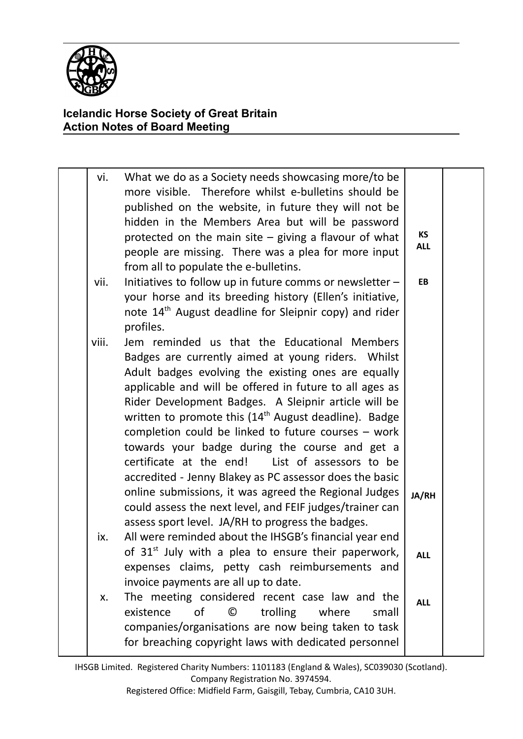

| vi.   | What we do as a Society needs showcasing more/to be<br>more visible. Therefore whilst e-bulletins should be<br>published on the website, in future they will not be<br>hidden in the Members Area but will be password<br>protected on the main site $-$ giving a flavour of what<br>people are missing. There was a plea for more input<br>from all to populate the e-bulletins.                                                                                                                                                                                                                                                                                                        | <b>KS</b><br><b>ALL</b> |  |
|-------|------------------------------------------------------------------------------------------------------------------------------------------------------------------------------------------------------------------------------------------------------------------------------------------------------------------------------------------------------------------------------------------------------------------------------------------------------------------------------------------------------------------------------------------------------------------------------------------------------------------------------------------------------------------------------------------|-------------------------|--|
| vii.  | Initiatives to follow up in future comms or newsletter -<br>your horse and its breeding history (Ellen's initiative,<br>note 14 <sup>th</sup> August deadline for Sleipnir copy) and rider<br>profiles.                                                                                                                                                                                                                                                                                                                                                                                                                                                                                  | <b>EB</b>               |  |
| viii. | Jem reminded us that the Educational Members<br>Badges are currently aimed at young riders. Whilst<br>Adult badges evolving the existing ones are equally<br>applicable and will be offered in future to all ages as<br>Rider Development Badges. A Sleipnir article will be<br>written to promote this $(14th$ August deadline). Badge<br>completion could be linked to future courses $-$ work<br>towards your badge during the course and get a<br>certificate at the end!<br>List of assessors to be<br>accredited - Jenny Blakey as PC assessor does the basic<br>online submissions, it was agreed the Regional Judges<br>could assess the next level, and FEIF judges/trainer can | JA/RH                   |  |
| ix.   | assess sport level. JA/RH to progress the badges.<br>All were reminded about the IHSGB's financial year end<br>of 31 <sup>st</sup> July with a plea to ensure their paperwork,<br>expenses claims, petty cash reimbursements and<br>invoice payments are all up to date.                                                                                                                                                                                                                                                                                                                                                                                                                 | <b>ALL</b>              |  |
| х.    | The meeting considered recent case law and the<br>of<br>©<br>trolling<br>where<br>existence<br>small<br>companies/organisations are now being taken to task<br>for breaching copyright laws with dedicated personnel                                                                                                                                                                                                                                                                                                                                                                                                                                                                     | <b>ALL</b>              |  |

IHSGB Limited. Registered Charity Numbers: 1101183 (England & Wales), SC039030 (Scotland). Company Registration No. 3974594.

Registered Office: Midfield Farm, Gaisgill, Tebay, Cumbria, CA10 3UH.